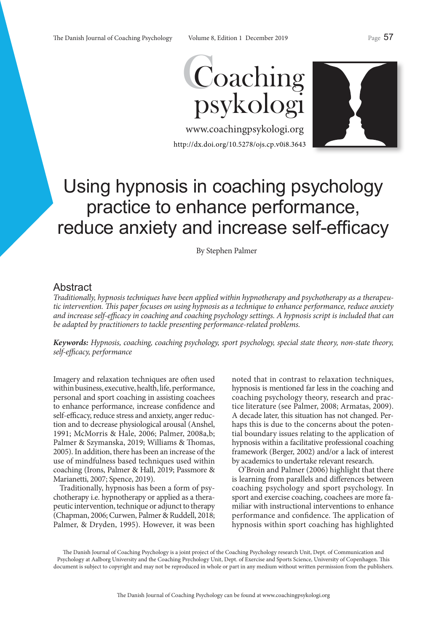

www.coachingpsykologi.org http://dx.doi.org/10.5278/ojs.cp.v0i8.3643



# Using hypnosis in coaching psychology practice to enhance performance, reduce anxiety and increase self-efficacy

By Stephen Palmer

# Abstract

*Traditionally, hypnosis techniques have been applied within hypnotherapy and psychotherapy as a therapeutic intervention. This paper focuses on using hypnosis as a technique to enhance performance, reduce anxiety and increase self-efficacy in coaching and coaching psychology settings. A hypnosis script is included that can be adapted by practitioners to tackle presenting performance-related problems.*

*Keywords: Hypnosis, coaching, coaching psychology, sport psychology, special state theory, non-state theory, self-efficacy, performance*

Imagery and relaxation techniques are often used within business, executive, health, life, performance, personal and sport coaching in assisting coachees to enhance performance, increase confidence and self-efficacy, reduce stress and anxiety, anger reduction and to decrease physiological arousal (Anshel, 1991; McMorris & Hale, 2006; Palmer, 2008a,b; Palmer & Szymanska, 2019; Williams & Thomas, 2005). In addition, there has been an increase of the use of mindfulness based techniques used within coaching (Irons, Palmer & Hall, 2019; Passmore & Marianetti, 2007; Spence, 2019).

Traditionally, hypnosis has been a form of psychotherapy i.e. hypnotherapy or applied as a therapeutic intervention, technique or adjunct to therapy (Chapman, 2006; Curwen, Palmer & Ruddell, 2018; Palmer, & Dryden, 1995). However, it was been

noted that in contrast to relaxation techniques, hypnosis is mentioned far less in the coaching and coaching psychology theory, research and practice literature (see Palmer, 2008; Armatas, 2009). A decade later, this situation has not changed. Perhaps this is due to the concerns about the potential boundary issues relating to the application of hypnosis within a facilitative professional coaching framework (Berger, 2002) and/or a lack of interest by academics to undertake relevant research.

O'Broin and Palmer (2006) highlight that there is learning from parallels and differences between coaching psychology and sport psychology. In sport and exercise coaching, coachees are more familiar with instructional interventions to enhance performance and confidence. The application of hypnosis within sport coaching has highlighted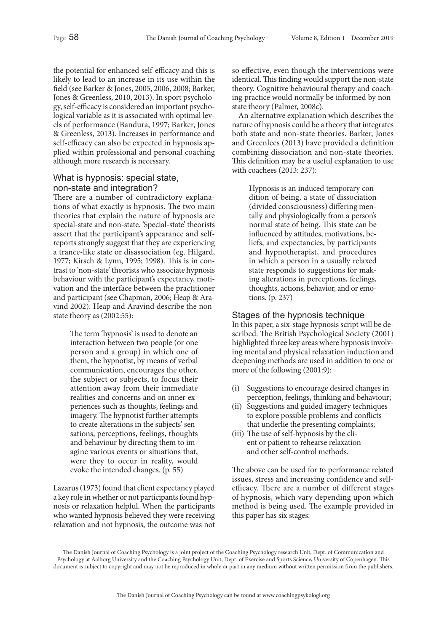the potential for enhanced self-efficacy and this is likely to lead to an increase in its use within the field (see Barker & Jones, 2005, 2006, 2008; Barker, Jones & Greenless, 2010, 2013). In sport psychology, self-efficacy is considered an important psychological variable as it is associated with optimal levels of performance (Bandura, 1997; Barker, Jones & Greenless, 2013). Increases in performance and self-efficacy can also be expected in hypnosis applied within professional and personal coaching although more research is necessary.

# What is hypnosis: special state, non-state and integration?

There are a number of contradictory explanations of what exactly is hypnosis. The two main theories that explain the nature of hypnosis are special-state and non-state. 'Special-state' theorists assert that the participant's appearance and selfreports strongly suggest that they are experiencing a trance-like state or disassociation (eg. Hilgard, 1977; Kirsch & Lynn, 1995; 1998). This is in contrast to 'non-state' theorists who associate hypnosis behaviour with the participant's expectancy, motivation and the interface between the practitioner and participant (see Chapman, 2006; Heap & Aravind 2002). Heap and Aravind describe the nonstate theory as (2002:55):

> The term 'hypnosis' is used to denote an interaction between two people (or one person and a group) in which one of them, the hypnotist, by means of verbal communication, encourages the other, the subject or subjects, to focus their attention away from their immediate realities and concerns and on inner experiences such as thoughts, feelings and imagery. The hypnotist further attempts to create alterations in the subjects' sensations, perceptions, feelings, thoughts and behaviour by directing them to imagine various events or situations that, were they to occur in reality, would evoke the intended changes. (p. 55)

Lazarus (1973) found that client expectancy played a key role in whether or not participants found hypnosis or relaxation helpful. When the participants who wanted hypnosis believed they were receiving relaxation and not hypnosis, the outcome was not

so effective, even though the interventions were identical. This finding would support the non-state theory. Cognitive behavioural therapy and coaching practice would normally be informed by nonstate theory (Palmer, 2008c).

An alternative explanation which describes the nature of hypnosis could be a theory that integrates both state and non-state theories. Barker, Jones and Greenlees (2013) have provided a definition combining dissociation and non-state theories. This definition may be a useful explanation to use with coachees (2013: 237):

> Hypnosis is an induced temporary condition of being, a state of dissociation (divided consciousness) differing mentally and physiologically from a person's normal state of being. This state can be influenced by attitudes, motivations, beliefs, and expectancies, by participants and hypnotherapist, and procedures in which a person in a usually relaxed state responds to suggestions for making alterations in perceptions, feelings, thoughts, actions, behavior, and or emotions. (p. 237)

# Stages of the hypnosis technique

In this paper, a six-stage hypnosis script will be described. The British Psychological Society (2001) highlighted three key areas where hypnosis involving mental and physical relaxation induction and deepening methods are used in addition to one or more of the following (2001:9):

- (i) Suggestions to encourage desired changes in perception, feelings, thinking and behaviour;
- (ii) Suggestions and guided imagery techniques to explore possible problems and conflicts that underlie the presenting complaints;
- (iii) The use of self-hypnosis by the client or patient to rehearse relaxation and other self-control methods.

The above can be used for to performance related issues, stress and increasing confidence and selfefficacy. There are a number of different stages of hypnosis, which vary depending upon which method is being used. The example provided in this paper has six stages: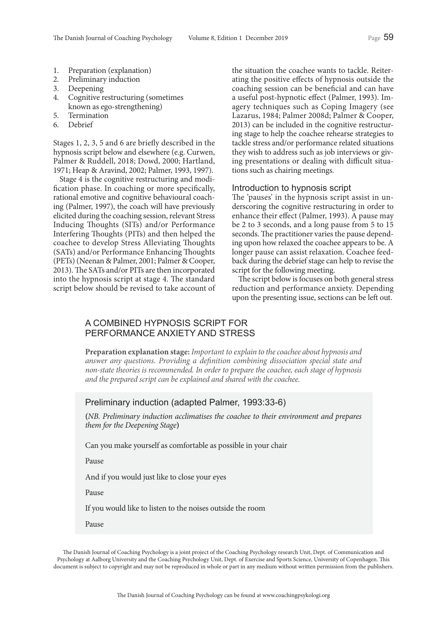- 1. Preparation (explanation)<br>2. Preliminary induction
- 2. Preliminary induction
- 3. Deepening
- 4. Cognitive restructuring (sometimes known as ego-strengthening)
- 5. Termination
- 6. Debrief

Stages 1, 2, 3, 5 and 6 are briefly described in the hypnosis script below and elsewhere (e.g. Curwen, Palmer & Ruddell, 2018; Dowd, 2000; Hartland, 1971; Heap & Aravind, 2002; Palmer, 1993, 1997).

Stage 4 is the cognitive restructuring and modification phase. In coaching or more specifically, rational emotive and cognitive behavioural coaching (Palmer, 1997), the coach will have previously elicited during the coaching session, relevant Stress Inducing Thoughts (SITs) and/or Performance Interfering Thoughts (PITs) and then helped the coachee to develop Stress Alleviating Thoughts (SATs) and/or Performance Enhancing Thoughts (PETs) (Neenan & Palmer, 2001; Palmer & Cooper, 2013). The SATs and/or PITs are then incorporated into the hypnosis script at stage 4. The standard script below should be revised to take account of

the situation the coachee wants to tackle. Reiterating the positive effects of hypnosis outside the coaching session can be beneficial and can have a useful post-hypnotic effect (Palmer, 1993). Imagery techniques such as Coping Imagery (see Lazarus, 1984; Palmer 2008d; Palmer & Cooper, 2013) can be included in the cognitive restructuring stage to help the coachee rehearse strategies to tackle stress and/or performance related situations they wish to address such as job interviews or giving presentations or dealing with difficult situations such as chairing meetings.

## Introduction to hypnosis script

The 'pauses' in the hypnosis script assist in underscoring the cognitive restructuring in order to enhance their effect (Palmer, 1993). A pause may be 2 to 3 seconds, and a long pause from 5 to 15 seconds. The practitioner varies the pause depending upon how relaxed the coachee appears to be. A longer pause can assist relaxation. Coachee feedback during the debrief stage can help to revise the script for the following meeting.

The script below is focuses on both general stress reduction and performance anxiety. Depending upon the presenting issue, sections can be left out.

## A COMBINED HYPNOSIS SCRIPT FOR PERFORMANCE ANXIETY AND STRESS

**Preparation explanation stage:** *Important to explain to the coachee about hypnosis and answer any questions. Providing a definition combining dissociation special state and non-state theories is recommended. In order to prepare the coachee, each stage of hypnosis and the prepared script can be explained and shared with the coachee.*

## Preliminary induction (adapted Palmer, 1993:33-6)

**(***NB. Preliminary induction acclimatises the coachee to their environment and prepares them for the Deepening Stage***)**

Can you make yourself as comfortable as possible in your chair

Pause

And if you would just like to close your eyes

Pause

If you would like to listen to the noises outside the room

Pause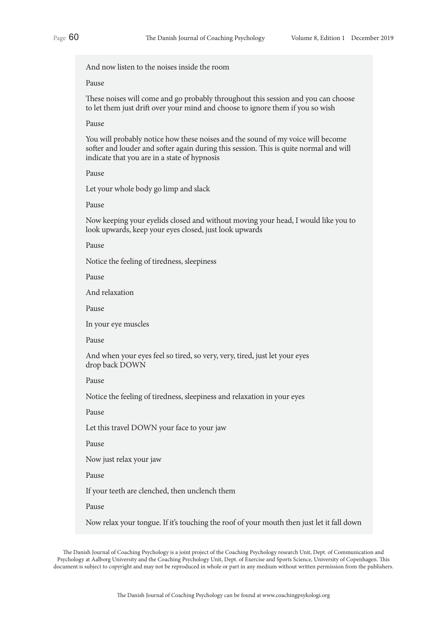And now listen to the noises inside the room

#### Pause

These noises will come and go probably throughout this session and you can choose to let them just drift over your mind and choose to ignore them if you so wish

#### Pause

You will probably notice how these noises and the sound of my voice will become softer and louder and softer again during this session. This is quite normal and will indicate that you are in a state of hypnosis

Pause

Let your whole body go limp and slack

Pause

Now keeping your eyelids closed and without moving your head, I would like you to look upwards, keep your eyes closed, just look upwards

Pause

Notice the feeling of tiredness, sleepiness

Pause

And relaxation

Pause

In your eye muscles

Pause

And when your eyes feel so tired, so very, very, tired, just let your eyes drop back DOWN

Pause

Notice the feeling of tiredness, sleepiness and relaxation in your eyes

Pause

Let this travel DOWN your face to your jaw

Pause

Now just relax your jaw

Pause

If your teeth are clenched, then unclench them

Pause

Now relax your tongue. If it's touching the roof of your mouth then just let it fall down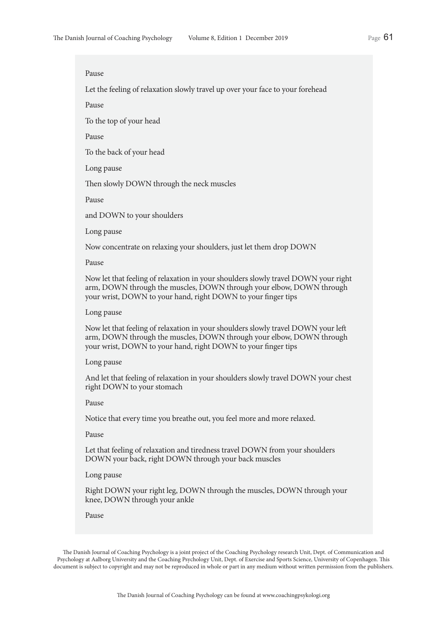Let the feeling of relaxation slowly travel up over your face to your forehead

Pause

To the top of your head

Pause

To the back of your head

Long pause

Then slowly DOWN through the neck muscles

Pause

and DOWN to your shoulders

Long pause

Now concentrate on relaxing your shoulders, just let them drop DOWN

Pause

Now let that feeling of relaxation in your shoulders slowly travel DOWN your right arm, DOWN through the muscles, DOWN through your elbow, DOWN through your wrist, DOWN to your hand, right DOWN to your finger tips

#### Long pause

Now let that feeling of relaxation in your shoulders slowly travel DOWN your left arm, DOWN through the muscles, DOWN through your elbow, DOWN through your wrist, DOWN to your hand, right DOWN to your finger tips

#### Long pause

And let that feeling of relaxation in your shoulders slowly travel DOWN your chest right DOWN to your stomach

Pause

Notice that every time you breathe out, you feel more and more relaxed.

Pause

Let that feeling of relaxation and tiredness travel DOWN from your shoulders DOWN your back, right DOWN through your back muscles

Long pause

Right DOWN your right leg, DOWN through the muscles, DOWN through your knee, DOWN through your ankle

Pause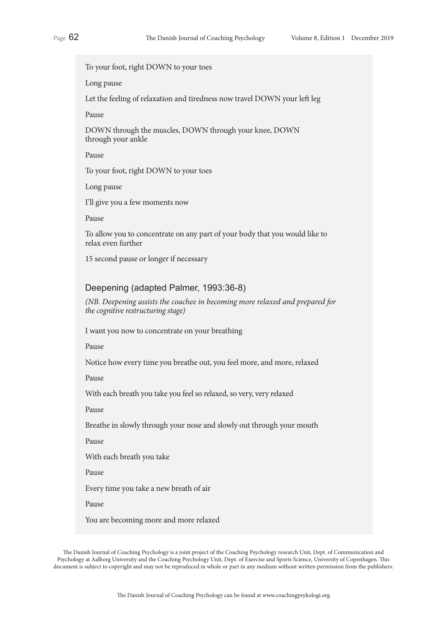To your foot, right DOWN to your toes

Long pause

Let the feeling of relaxation and tiredness now travel DOWN your left leg

Pause

DOWN through the muscles, DOWN through your knee, DOWN through your ankle

Pause

To your foot, right DOWN to your toes

Long pause

I'll give you a few moments now

Pause

To allow you to concentrate on any part of your body that you would like to relax even further

15 second pause or longer if necessary

## Deepening (adapted Palmer, 1993:36-8)

*(NB. Deepening assists the coachee in becoming more relaxed and prepared for the cognitive restructuring stage)*

I want you now to concentrate on your breathing

Pause

Notice how every time you breathe out, you feel more, and more, relaxed

Pause

With each breath you take you feel so relaxed, so very, very relaxed

Pause

Breathe in slowly through your nose and slowly out through your mouth

Pause

With each breath you take

Pause

Every time you take a new breath of air

Pause

You are becoming more and more relaxed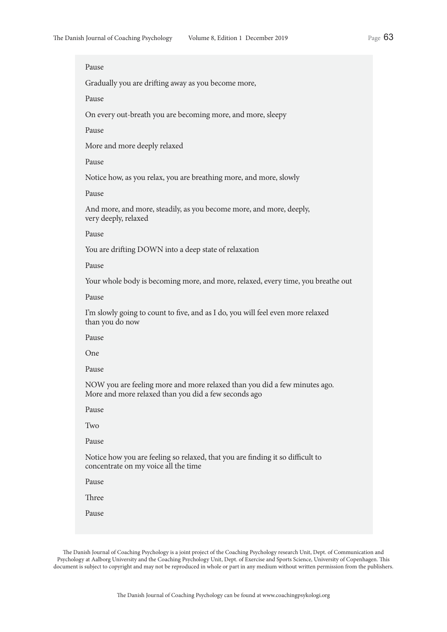Gradually you are drifting away as you become more,

Pause

On every out-breath you are becoming more, and more, sleepy

Pause

More and more deeply relaxed

Pause

Notice how, as you relax, you are breathing more, and more, slowly

Pause

And more, and more, steadily, as you become more, and more, deeply, very deeply, relaxed

Pause

You are drifting DOWN into a deep state of relaxation

Pause

Your whole body is becoming more, and more, relaxed, every time, you breathe out

Pause

I'm slowly going to count to five, and as I do, you will feel even more relaxed than you do now

Pause

One

Pause

NOW you are feeling more and more relaxed than you did a few minutes ago. More and more relaxed than you did a few seconds ago

Pause

Two

Pause

Notice how you are feeling so relaxed, that you are finding it so difficult to concentrate on my voice all the time

Pause

Three

Pause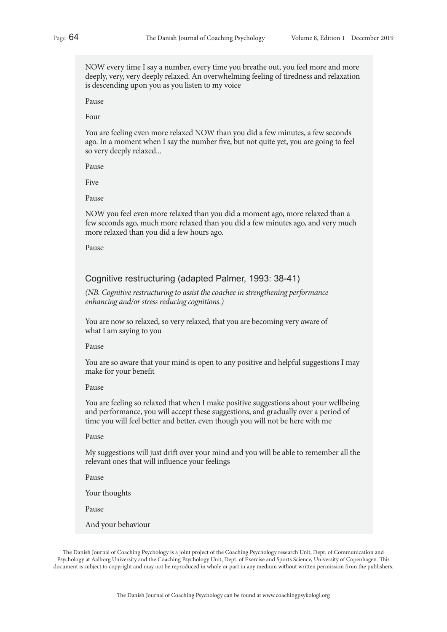NOW every time I say a number, every time you breathe out, you feel more and more deeply, very, very deeply relaxed. An overwhelming feeling of tiredness and relaxation is descending upon you as you listen to my voice

Pause

Four

You are feeling even more relaxed NOW than you did a few minutes, a few seconds ago. In a moment when I say the number five, but not quite yet, you are going to feel so very deeply relaxed...

Pause

Five

Pause

NOW you feel even more relaxed than you did a moment ago, more relaxed than a few seconds ago, much more relaxed than you did a few minutes ago, and very much more relaxed than you did a few hours ago.

Pause

## Cognitive restructuring (adapted Palmer, 1993: 38-41)

*(NB. Cognitive restructuring to assist the coachee in strengthening performance enhancing and/or stress reducing cognitions.)*

You are now so relaxed, so very relaxed, that you are becoming very aware of what I am saying to you

Pause

You are so aware that your mind is open to any positive and helpful suggestions I may make for your benefit

#### Pause

You are feeling so relaxed that when I make positive suggestions about your wellbeing and performance, you will accept these suggestions, and gradually over a period of time you will feel better and better, even though you will not be here with me

Pause

My suggestions will just drift over your mind and you will be able to remember all the relevant ones that will influence your feelings

Pause

Your thoughts

Pause

And your behaviour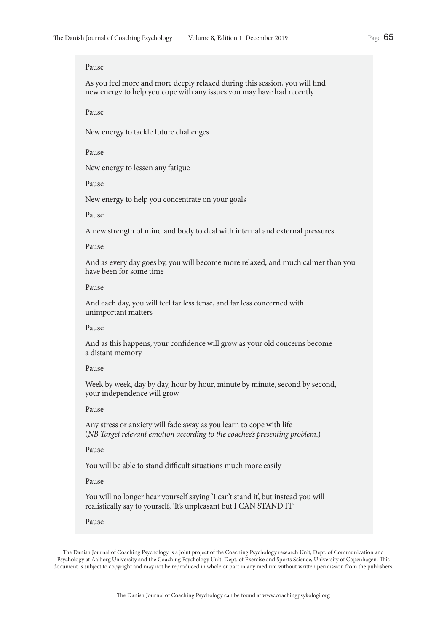As you feel more and more deeply relaxed during this session, you will find new energy to help you cope with any issues you may have had recently

Pause

New energy to tackle future challenges

Pause

New energy to lessen any fatigue

Pause

New energy to help you concentrate on your goals

#### Pause

A new strength of mind and body to deal with internal and external pressures

#### Pause

And as every day goes by, you will become more relaxed, and much calmer than you have been for some time

## Pause

And each day, you will feel far less tense, and far less concerned with unimportant matters

## Pause

And as this happens, your confidence will grow as your old concerns become a distant memory

## Pause

Week by week, day by day, hour by hour, minute by minute, second by second, your independence will grow

## Pause

Any stress or anxiety will fade away as you learn to cope with life (*NB Target relevant emotion according to the coachee's presenting problem*.)

#### Pause

You will be able to stand difficult situations much more easily

## Pause

You will no longer hear yourself saying 'I can't stand it', but instead you will realistically say to yourself, 'It's unpleasant but I CAN STAND IT'

#### Pause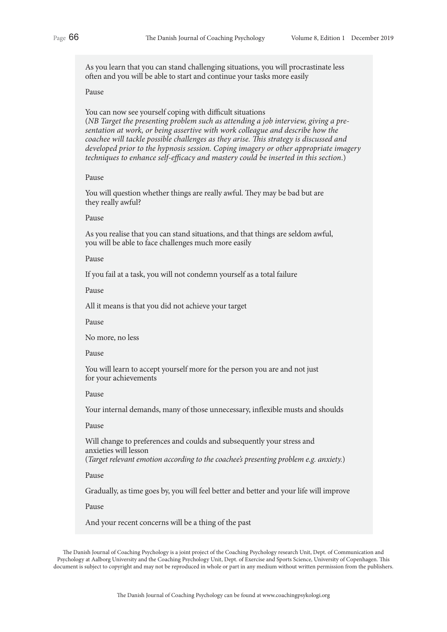As you learn that you can stand challenging situations, you will procrastinate less often and you will be able to start and continue your tasks more easily

## Pause

You can now see yourself coping with difficult situations (*NB Target the presenting problem such as attending a job interview, giving a presentation at work, or being assertive with work colleague and describe how the coachee will tackle possible challenges as they arise. This strategy is discussed and developed prior to the hypnosis session. Coping imagery or other appropriate imagery techniques to enhance self-efficacy and mastery could be inserted in this section*.)

## Pause

You will question whether things are really awful. They may be bad but are they really awful?

## Pause

As you realise that you can stand situations, and that things are seldom awful, you will be able to face challenges much more easily

#### Pause

If you fail at a task, you will not condemn yourself as a total failure

Pause

All it means is that you did not achieve your target

Pause

No more, no less

Pause

You will learn to accept yourself more for the person you are and not just for your achievements

Pause

Your internal demands, many of those unnecessary, inflexible musts and shoulds

## Pause

Will change to preferences and coulds and subsequently your stress and anxieties will lesson (*Target relevant emotion according to the coachee's presenting problem e.g. anxiety.*)

Pause

Gradually, as time goes by, you will feel better and better and your life will improve

Pause

And your recent concerns will be a thing of the past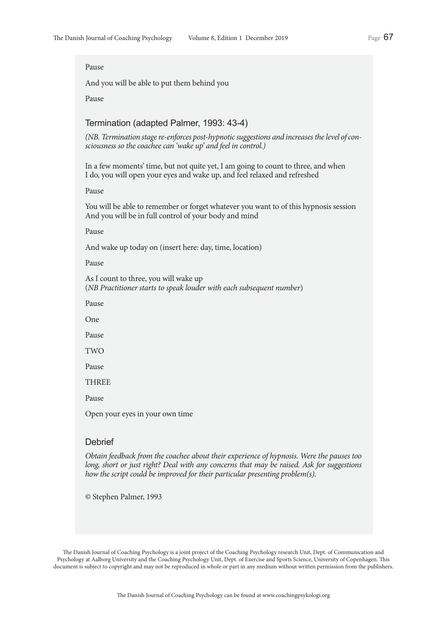And you will be able to put them behind you

Pause

## Termination (adapted Palmer, 1993: 43-4)

*(NB. Termination stage re-enforces post-hypnotic suggestions and increases the level of consciousness so the coachee can 'wake up' and feel in control.)*

In a few moments' time, but not quite yet, I am going to count to three, and when I do, you will open your eyes and wake up, and feel relaxed and refreshed

Pause

You will be able to remember or forget whatever you want to of this hypnosis session And you will be in full control of your body and mind

#### Pause

And wake up today on (insert here: day, time, location)

Pause

As I count to three, you will wake up (*NB Practitioner starts to speak louder with each subsequent number*)

Pause

One

Pause

TWO

Pause

**THREE** 

Pause

Open your eyes in your own time

## **Debrief**

*Obtain feedback from the coachee about their experience of hypnosis. Were the pauses too long, short or just right? Deal with any concerns that may be raised. Ask for suggestions how the script could be improved for their particular presenting problem(s).*

© Stephen Palmer, 1993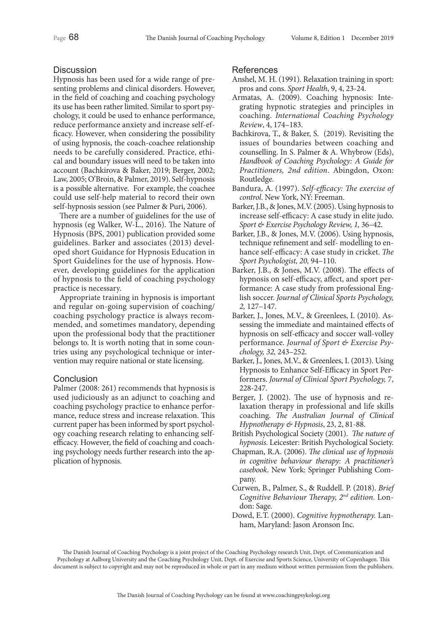## **Discussion**

Hypnosis has been used for a wide range of presenting problems and clinical disorders. However, in the field of coaching and coaching psychology its use has been rather limited. Similar to sport psychology, it could be used to enhance performance, reduce performance anxiety and increase self-efficacy. However, when considering the possibility of using hypnosis, the coach-coachee relationship needs to be carefully considered. Practice, ethical and boundary issues will need to be taken into account (Bachkirova & Baker, 2019; Berger, 2002; Law, 2005; O'Broin, & Palmer, 2019). Self-hypnosis is a possible alternative. For example, the coachee could use self-help material to record their own self-hypnosis session (see Palmer & Puri, 2006).

There are a number of guidelines for the use of hypnosis (eg Walker, W-L., 2016). The Nature of Hypnosis (BPS, 2001) publication provided some guidelines. Barker and associates (2013) developed short Guidance for Hypnosis Education in Sport Guidelines for the use of hypnosis. However, developing guidelines for the application of hypnosis to the field of coaching psychology practice is necessary.

Appropriate training in hypnosis is important and regular on-going supervision of coaching/ coaching psychology practice is always recommended, and sometimes mandatory, depending upon the professional body that the practitioner belongs to. It is worth noting that in some countries using any psychological technique or intervention may require national or state licensing.

## **Conclusion**

Palmer (2008: 261) recommends that hypnosis is used judiciously as an adjunct to coaching and coaching psychology practice to enhance performance, reduce stress and increase relaxation. This current paper has been informed by sport psychology coaching research relating to enhancing selfefficacy. However, the field of coaching and coaching psychology needs further research into the application of hypnosis.

## References

- Anshel, M. H. (1991). Relaxation training in sport: pros and cons. *Sport Health*, 9, 4, 23-24.
- Armatas, A. (2009). Coaching hypnosis: Integrating hypnotic strategies and principles in coaching. *International Coaching Psychology Review*, 4, 174–183.
- Bachkirova, T., & Baker, S. (2019). Revisiting the issues of boundaries between coaching and counselling. In S. Palmer & A. Whybrow (Eds), *Handbook of Coaching Psychology: A Guide for Practitioners, 2nd edition*. Abingdon, Oxon: Routledge.
- Bandura, A. (1997). *Self-efficacy: The exercise of control*. New York, NY: Freeman.
- Barker, J.B., & Jones, M.V. (2005). Using hypnosis to increase self-efficacy: A case study in elite judo. *Sport & Exercise Psychology Review, 1,* 36–42.
- Barker, J.B., & Jones, M.V. (2006). Using hypnosis, technique refinement and self- modelling to enhance self-efficacy: A case study in cricket. *The Sport Psychologist, 20,* 94–110.
- Barker, J.B., & Jones, M.V. (2008). The effects of hypnosis on self-efficacy, affect, and sport performance: A case study from professional English soccer. *Journal of Clinical Sports Psychology, 2,* 127–147.
- Barker, J., Jones, M.V., & Greenlees, I. (2010). Assessing the immediate and maintained effects of hypnosis on self-efficacy and soccer wall-volley performance. *Journal of Sport & Exercise Psychology, 32,* 243–252.
- Barker, J., Jones, M.V., & Greenlees, I. (2013). Using Hypnosis to Enhance Self-Efficacy in Sport Performers. *Journal of Clinical Sport Psychology,* 7, 228-247.
- Berger, J. (2002). The use of hypnosis and relaxation therapy in professional and life skills coaching. *The Australian Journal of Clinical Hypnotherapy & Hypnosis*, 23, 2, 81-88.
- British Psychological Society (2001). *The nature of hypnosis*. Leicester: British Psychological Society.
- Chapman, R.A. (2006). *The clinical use of hypnosis in cognitive behaviour therapy: A practitioner's casebook*. New York: Springer Publishing Company.
- Curwen, B., Palmer, S., & Ruddell. P. (2018). *Brief Cognitive Behaviour Therapy, 2nd edition.* London: Sage.
- Dowd, E.T. (2000). *Cognitive hypnotherapy.* Lanham, Maryland: Jason Aronson Inc.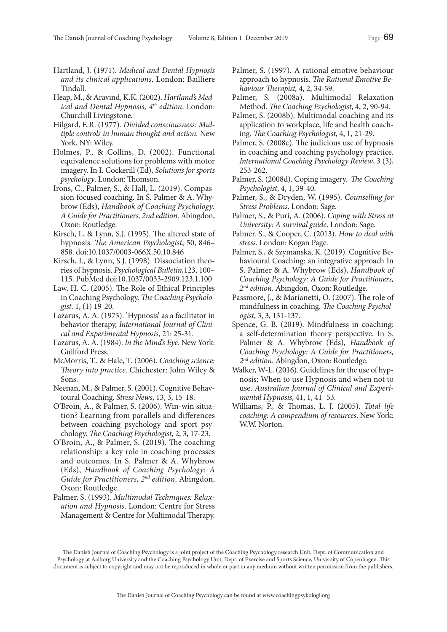- Hartland, J. (1971). *Medical and Dental Hypnosis and its clinical applications*. London: Bailliere Tindall.
- Heap, M., & Aravind, K.K. (2002). *Hartland's Medical and Dental Hypnosis, 4<sup>th</sup> edition.* London: Churchill Livingstone.
- Hilgard, E.R. (1977). *Divided consciousness: Multiple controls in human thought and action.* New York, NY: Wiley.
- Holmes, P., & Collins, D. (2002). Functional equivalence solutions for problems with motor imagery. In I. Cockerill (Ed), *Solutions for sports psychology*. London: Thomson.
- Irons, C., Palmer, S., & Hall, L. (2019). Compassion focused coaching. In S. Palmer & A. Whybrow (Eds), *Handbook of Coaching Psychology: A Guide for Practitioners, 2nd edition*. Abingdon, Oxon: Routledge.
- Kirsch, I., & Lynn, S.J. (1995). The altered state of hypnosis. *The American Psychologist*, 50, 846– 858. doi:10.1037/0003-066X.50.10.846
- Kirsch, I., & Lynn, S.J. (1998). Dissociation theories of hypnosis. *Psychological Bulletin,*123, 100– 115. PubMed doi:10.1037/0033-2909.123.1.100
- Law, H. C. (2005). The Role of Ethical Principles in Coaching Psychology. *The Coaching Psychologist*. 1, (1) 19-20.
- Lazarus, A. A. (1973). 'Hypnosis' as a facilitator in behavior therapy, *International Journal of Clinical and Experimental Hypnosis*, 21: 25-31.
- Lazarus, A. A. (1984). *In the Mind's Eye*. New York: Guilford Press.
- McMorris, T., & Hale, T. (2006). *Coaching science: Theory into practice*. Chichester: John Wiley & Sons.
- Neenan, M., & Palmer, S. (2001). Cognitive Behavioural Coaching. *Stress News*, 13, 3, 15-18.
- O'Broin, A., & Palmer, S. (2006). Win-win situation? Learning from parallels and differences between coaching psychology and sport psychology. *The Coaching Psychologist*, 2, 3, 17-23.
- O'Broin, A., & Palmer, S. (2019). The coaching relationship: a key role in coaching processes and outcomes. In S. Palmer & A. Whybrow (Eds), *Handbook of Coaching Psychology: A Guide for Practitioners, 2nd edition*. Abingdon, Oxon: Routledge.
- Palmer, S. (1993). *Multimodal Techniques: Relaxation and Hypnosis*. London: Centre for Stress Management & Centre for Multimodal Therapy.
- Palmer, S. (1997). A rational emotive behaviour approach to hypnosis. *The Rational Emotive Behaviour Therapist,* 4, 2, 34-59.
- Palmer, S. (2008a). Multimodal Relaxation Method. *The Coaching Psychologist*, 4, 2, 90-94.
- Palmer, S. (2008b). Multimodal coaching and its application to workplace, life and health coaching. *The Coaching Psychologist*, 4, 1, 21-29.
- Palmer, S. (2008c). The judicious use of hypnosis in coaching and coaching psychology practice. *International Coaching Psychology Review*, 3 (3), 253-262.
- Palmer, S. (2008d). Coping imagery. *The Coaching Psychologist*, 4, 1, 39-40.
- Palmer, S., & Dryden, W. (1995). *Counselling for Stress Problems*. London: Sage.
- Palmer, S., & Puri, A. (2006). *Coping with Stress at University: A survival guide*. London: Sage.
- Palmer. S., & Cooper, C. (2013). *How to deal with stress*. London: Kogan Page.
- Palmer, S., & Szymanska, K. (2019). Cognitive Behavioural Coaching: an integrative approach In S. Palmer & A. Whybrow (Eds), *Handbook of Coaching Psychology: A Guide for Practitioners, 2nd edition*. Abingdon, Oxon: Routledge.
- Passmore, J., & Marianetti, O. (2007). The role of mindfulness in coaching. *The Coaching Psychologist*, 3, 3, 131-137.
- Spence, G. B. (2019). Mindfulness in coaching: a self-determination theory perspective. In S. Palmer & A. Whybrow (Eds), *Handbook of Coaching Psychology: A Guide for Practitioners, 2nd edition*. Abingdon, Oxon: Routledge.
- Walker, W-L. (2016). Guidelines for the use of hypnosis: When to use Hypnosis and when not to use. *Australian Journal of Clinical and Experimental Hypnosis*, 41, 1, 41–53.
- Williams, P., & Thomas, L. J. (2005). *Total life coaching: A compendium of resources*. New York: W.W. Norton.